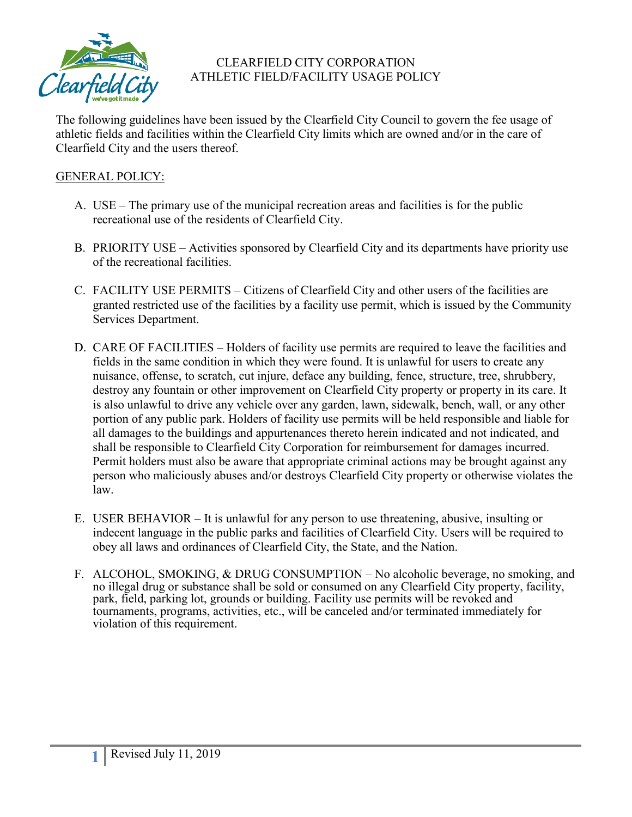

# CLEARFIELD CITY CORPORATION ATHLETIC FIELD/FACILITY USAGE POLICY

The following guidelines have been issued by the Clearfield City Council to govern the fee usage of athletic fields and facilities within the Clearfield City limits which are owned and/or in the care of Clearfield City and the users thereof.

## GENERAL POLICY:

- A. USE The primary use of the municipal recreation areas and facilities is for the public recreational use of the residents of Clearfield City.
- B. PRIORITY USE Activities sponsored by Clearfield City and its departments have priority use of the recreational facilities.
- C. FACILITY USE PERMITS Citizens of Clearfield City and other users of the facilities are granted restricted use of the facilities by a facility use permit, which is issued by the Community Services Department.
- D. CARE OF FACILITIES Holders of facility use permits are required to leave the facilities and fields in the same condition in which they were found. It is unlawful for users to create any nuisance, offense, to scratch, cut injure, deface any building, fence, structure, tree, shrubbery, destroy any fountain or other improvement on Clearfield City property or property in its care. It is also unlawful to drive any vehicle over any garden, lawn, sidewalk, bench, wall, or any other portion of any public park. Holders of facility use permits will be held responsible and liable for all damages to the buildings and appurtenances thereto herein indicated and not indicated, and shall be responsible to Clearfield City Corporation for reimbursement for damages incurred. Permit holders must also be aware that appropriate criminal actions may be brought against any person who maliciously abuses and/or destroys Clearfield City property or otherwise violates the law.
- E. USER BEHAVIOR It is unlawful for any person to use threatening, abusive, insulting or indecent language in the public parks and facilities of Clearfield City. Users will be required to obey all laws and ordinances of Clearfield City, the State, and the Nation.
- F. ALCOHOL, SMOKING, & DRUG CONSUMPTION No alcoholic beverage, no smoking, and no illegal drug or substance shall be sold or consumed on any Clearfield City property, facility, park, field, parking lot, grounds or building. Facility use permits will be revoked and tournaments, programs, activities, etc., will be canceled and/or terminated immediately for violation of this requirement.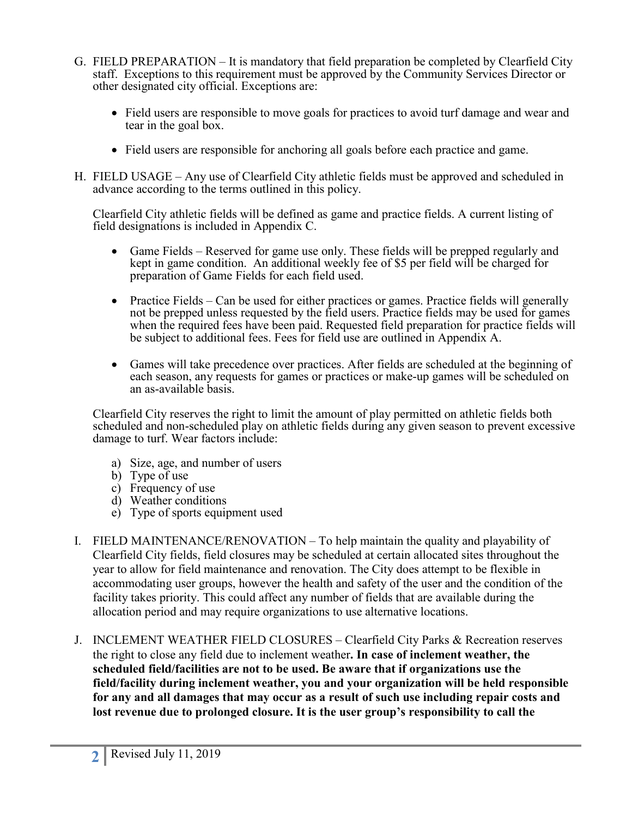- G. FIELD PREPARATION It is mandatory that field preparation be completed by Clearfield City staff. Exceptions to this requirement must be approved by the Community Services Director or other designated city official. Exceptions are:
	- Field users are responsible to move goals for practices to avoid turf damage and wear and tear in the goal box.
	- Field users are responsible for anchoring all goals before each practice and game.
- H. FIELD USAGE Any use of Clearfield City athletic fields must be approved and scheduled in advance according to the terms outlined in this policy.

Clearfield City athletic fields will be defined as game and practice fields. A current listing of field designations is included in Appendix C.

- Game Fields Reserved for game use only. These fields will be prepped regularly and kept in game condition. An additional weekly fee of \$5 per field will be charged for preparation of Game Fields for each field used.
- Practice Fields Can be used for either practices or games. Practice fields will generally not be prepped unless requested by the field users. Practice fields may be used for games when the required fees have been paid. Requested field preparation for practice fields will be subject to additional fees. Fees for field use are outlined in Appendix A.
- Games will take precedence over practices. After fields are scheduled at the beginning of each season, any requests for games or practices or make-up games will be scheduled on an as-available basis.

Clearfield City reserves the right to limit the amount of play permitted on athletic fields both scheduled and non-scheduled play on athletic fields during any given season to prevent excessive damage to turf. Wear factors include:

- a) Size, age, and number of users
- b) Type of use
- c) Frequency of use
- d) Weather conditions
- e) Type of sports equipment used
- I. FIELD MAINTENANCE/RENOVATION To help maintain the quality and playability of Clearfield City fields, field closures may be scheduled at certain allocated sites throughout the year to allow for field maintenance and renovation. The City does attempt to be flexible in accommodating user groups, however the health and safety of the user and the condition of the facility takes priority. This could affect any number of fields that are available during the allocation period and may require organizations to use alternative locations.
- J. INCLEMENT WEATHER FIELD CLOSURES Clearfield City Parks & Recreation reserves the right to close any field due to inclement weather**. In case of inclement weather, the scheduled field/facilities are not to be used. Be aware that if organizations use the field/facility during inclement weather, you and your organization will be held responsible for any and all damages that may occur as a result of such use including repair costs and lost revenue due to prolonged closure. It is the user group's responsibility to call the**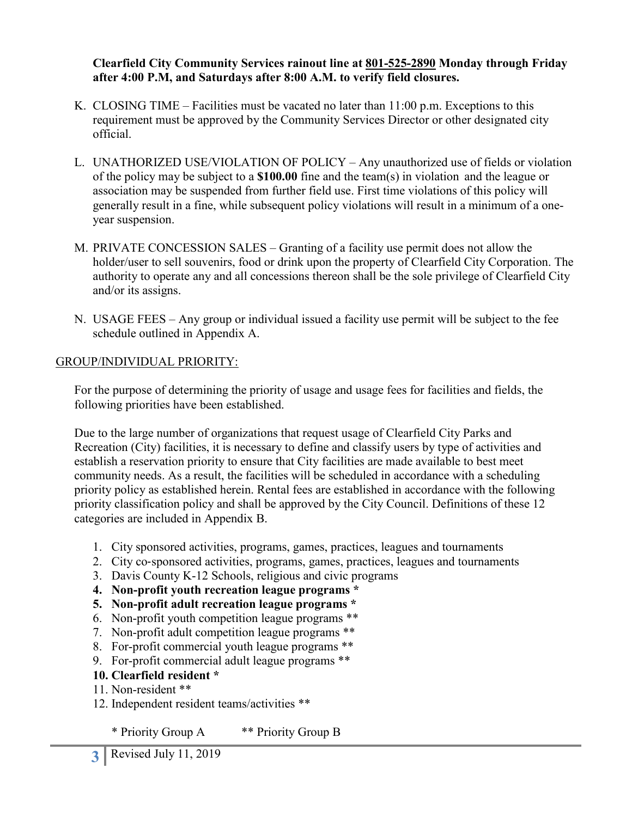**Clearfield City Community Services rainout line at 801-525-2890 Monday through Friday after 4:00 P.M, and Saturdays after 8:00 A.M. to verify field closures.**

- K. CLOSING TIME Facilities must be vacated no later than  $11:00$  p.m. Exceptions to this requirement must be approved by the Community Services Director or other designated city official.
- L. UNATHORIZED USE/VIOLATION OF POLICY Any unauthorized use of fields or violation of the policy may be subject to a **\$100.00** fine and the team(s) in violation and the league or association may be suspended from further field use. First time violations of this policy will generally result in a fine, while subsequent policy violations will result in a minimum of a oneyear suspension.
- M. PRIVATE CONCESSION SALES Granting of a facility use permit does not allow the holder/user to sell souvenirs, food or drink upon the property of Clearfield City Corporation. The authority to operate any and all concessions thereon shall be the sole privilege of Clearfield City and/or its assigns.
- N. USAGE FEES Any group or individual issued a facility use permit will be subject to the fee schedule outlined in Appendix A.

#### GROUP/INDIVIDUAL PRIORITY:

For the purpose of determining the priority of usage and usage fees for facilities and fields, the following priorities have been established.

Due to the large number of organizations that request usage of Clearfield City Parks and Recreation (City) facilities, it is necessary to define and classify users by type of activities and establish a reservation priority to ensure that City facilities are made available to best meet community needs. As a result, the facilities will be scheduled in accordance with a scheduling priority policy as established herein. Rental fees are established in accordance with the following priority classification policy and shall be approved by the City Council. Definitions of these 12 categories are included in Appendix B.

- 1. City sponsored activities, programs, games, practices, leagues and tournaments
- 2. City co-sponsored activities, programs, games, practices, leagues and tournaments
- 3. Davis County K-12 Schools, religious and civic programs
- **4. Non-profit youth recreation league programs \***
- **5. Non-profit adult recreation league programs \***
- 6. Non-profit youth competition league programs \*\*
- 7. Non-profit adult competition league programs \*\*
- 8. For-profit commercial youth league programs \*\*
- 9. For-profit commercial adult league programs \*\*

#### **10. Clearfield resident \***

- 11. Non-resident \*\*
- 12. Independent resident teams/activities \*\*

\* Priority Group A \*\* Priority Group B

**3** Revised July 11, 2019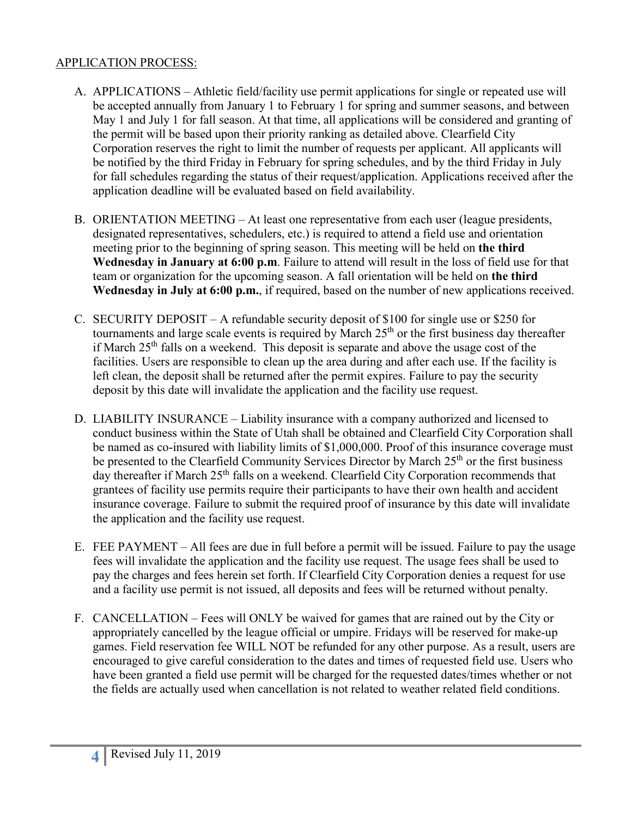## APPLICATION PROCESS:

- A. APPLICATIONS Athletic field/facility use permit applications for single or repeated use will be accepted annually from January 1 to February 1 for spring and summer seasons, and between May 1 and July 1 for fall season. At that time, all applications will be considered and granting of the permit will be based upon their priority ranking as detailed above. Clearfield City Corporation reserves the right to limit the number of requests per applicant. All applicants will be notified by the third Friday in February for spring schedules, and by the third Friday in July for fall schedules regarding the status of their request/application. Applications received after the application deadline will be evaluated based on field availability.
- B. ORIENTATION MEETING At least one representative from each user (league presidents, designated representatives, schedulers, etc.) is required to attend a field use and orientation meeting prior to the beginning of spring season. This meeting will be held on **the third Wednesday in January at 6:00 p.m**. Failure to attend will result in the loss of field use for that team or organization for the upcoming season. A fall orientation will be held on **the third Wednesday in July at 6:00 p.m.**, if required, based on the number of new applications received.
- C. SECURITY DEPOSIT A refundable security deposit of \$100 for single use or \$250 for tournaments and large scale events is required by March  $25<sup>th</sup>$  or the first business day thereafter if March  $25<sup>th</sup>$  falls on a weekend. This deposit is separate and above the usage cost of the facilities. Users are responsible to clean up the area during and after each use. If the facility is left clean, the deposit shall be returned after the permit expires. Failure to pay the security deposit by this date will invalidate the application and the facility use request.
- D. LIABILITY INSURANCE Liability insurance with a company authorized and licensed to conduct business within the State of Utah shall be obtained and Clearfield City Corporation shall be named as co-insured with liability limits of \$1,000,000. Proof of this insurance coverage must be presented to the Clearfield Community Services Director by March 25<sup>th</sup> or the first business day thereafter if March 25<sup>th</sup> falls on a weekend. Clearfield City Corporation recommends that grantees of facility use permits require their participants to have their own health and accident insurance coverage. Failure to submit the required proof of insurance by this date will invalidate the application and the facility use request.
- E. FEE PAYMENT All fees are due in full before a permit will be issued. Failure to pay the usage fees will invalidate the application and the facility use request. The usage fees shall be used to pay the charges and fees herein set forth. If Clearfield City Corporation denies a request for use and a facility use permit is not issued, all deposits and fees will be returned without penalty.
- F. CANCELLATION Fees will ONLY be waived for games that are rained out by the City or appropriately cancelled by the league official or umpire. Fridays will be reserved for make-up games. Field reservation fee WILL NOT be refunded for any other purpose. As a result, users are encouraged to give careful consideration to the dates and times of requested field use. Users who have been granted a field use permit will be charged for the requested dates/times whether or not the fields are actually used when cancellation is not related to weather related field conditions.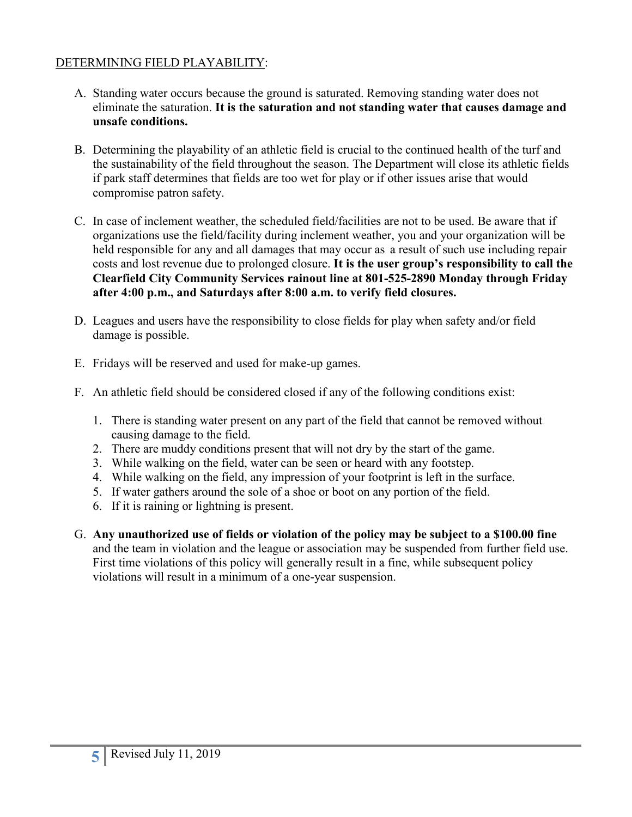# DETERMINING FIELD PLAYABILITY:

- A. Standing water occurs because the ground is saturated. Removing standing water does not eliminate the saturation. **It is the saturation and not standing water that causes damage and unsafe conditions.**
- B. Determining the playability of an athletic field is crucial to the continued health of the turf and the sustainability of the field throughout the season. The Department will close its athletic fields if park staff determines that fields are too wet for play or if other issues arise that would compromise patron safety.
- C. In case of inclement weather, the scheduled field/facilities are not to be used. Be aware that if organizations use the field/facility during inclement weather, you and your organization will be held responsible for any and all damages that may occur as a result of such use including repair costs and lost revenue due to prolonged closure. **It is the user group's responsibility to call the Clearfield City Community Services rainout line at 801-525-2890 Monday through Friday after 4:00 p.m., and Saturdays after 8:00 a.m. to verify field closures.**
- D. Leagues and users have the responsibility to close fields for play when safety and/or field damage is possible.
- E. Fridays will be reserved and used for make-up games.
- F. An athletic field should be considered closed if any of the following conditions exist:
	- 1. There is standing water present on any part of the field that cannot be removed without causing damage to the field.
	- 2. There are muddy conditions present that will not dry by the start of the game.
	- 3. While walking on the field, water can be seen or heard with any footstep.
	- 4. While walking on the field, any impression of your footprint is left in the surface.
	- 5. If water gathers around the sole of a shoe or boot on any portion of the field.
	- 6. If it is raining or lightning is present.
- G. **Any unauthorized use of fields or violation of the policy may be subject to a \$100.00 fine** and the team in violation and the league or association may be suspended from further field use. First time violations of this policy will generally result in a fine, while subsequent policy violations will result in a minimum of a one-year suspension.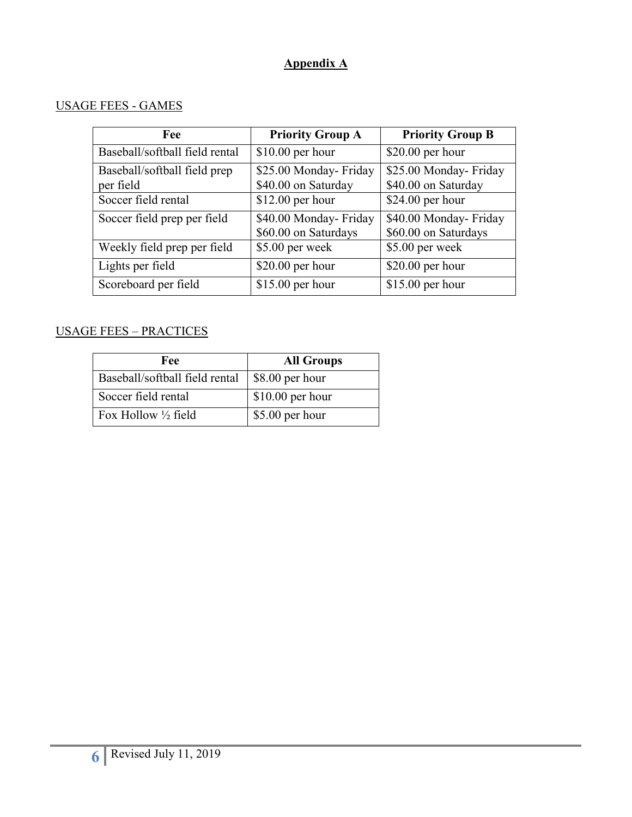# **Appendix A**

## USAGE FEES - GAMES

| Fee                                       | <b>Priority Group A</b>                        | <b>Priority Group B</b>                        |
|-------------------------------------------|------------------------------------------------|------------------------------------------------|
| Baseball/softball field rental            | $$10.00$ per hour                              | \$20.00 per hour                               |
| Baseball/softball field prep<br>per field | \$25.00 Monday- Friday<br>\$40.00 on Saturday  | \$25.00 Monday- Friday<br>\$40.00 on Saturday  |
| Soccer field rental                       | $$12.00$ per hour                              | \$24.00 per hour                               |
| Soccer field prep per field               | \$40.00 Monday- Friday<br>\$60.00 on Saturdays | \$40.00 Monday- Friday<br>\$60.00 on Saturdays |
| Weekly field prep per field               | \$5.00 per week                                | \$5.00 per week                                |
| Lights per field                          | $$20.00$ per hour                              | $$20.00$ per hour                              |
| Scoreboard per field                      | $$15.00$ per hour                              | $$15.00$ per hour                              |

## USAGE FEES – PRACTICES

| Fee                            | <b>All Groups</b> |
|--------------------------------|-------------------|
| Baseball/softball field rental | \$8.00 per hour   |
| Soccer field rental            | $$10.00$ per hour |
| Fox Hollow $\frac{1}{2}$ field | \$5.00 per hour   |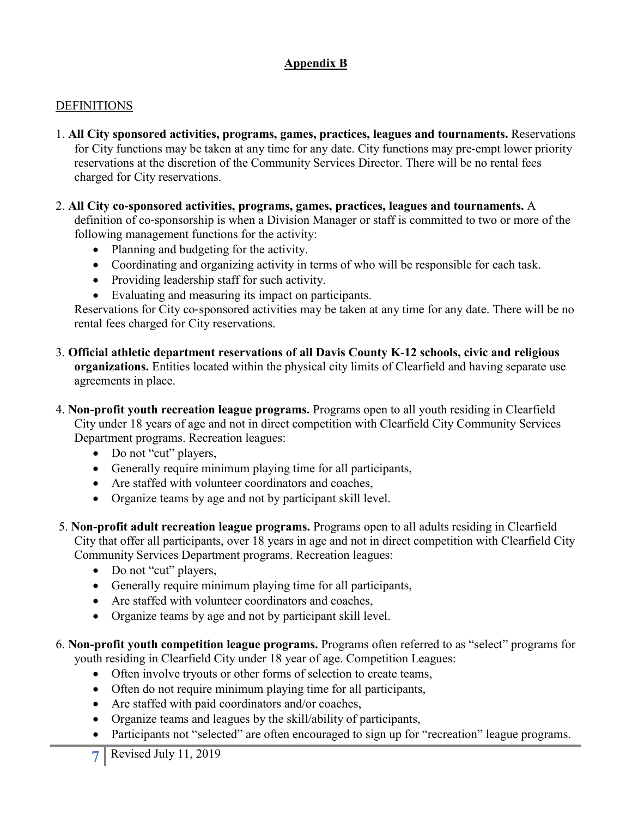# **Appendix B**

#### **DEFINITIONS**

- 1. **All City sponsored activities, programs, games, practices, leagues and tournaments.** Reservations for City functions may be taken at any time for any date. City functions may pre‐empt lower priority reservations at the discretion of the Community Services Director. There will be no rental fees charged for City reservations.
- 2. **All City co**‐**sponsored activities, programs, games, practices, leagues and tournaments.** A definition of co‐sponsorship is when a Division Manager or staff is committed to two or more of the following management functions for the activity:
	- Planning and budgeting for the activity.
	- Coordinating and organizing activity in terms of who will be responsible for each task.
	- Providing leadership staff for such activity.
	- Evaluating and measuring its impact on participants.

Reservations for City co‐sponsored activities may be taken at any time for any date. There will be no rental fees charged for City reservations.

- 3. **Official athletic department reservations of all Davis County K**‐**12 schools, civic and religious organizations.** Entities located within the physical city limits of Clearfield and having separate use agreements in place.
- 4. **Non-profit youth recreation league programs.** Programs open to all youth residing in Clearfield City under 18 years of age and not in direct competition with Clearfield City Community Services Department programs. Recreation leagues:
	- Do not "cut" players,
	- Generally require minimum playing time for all participants,
	- Are staffed with volunteer coordinators and coaches,
	- Organize teams by age and not by participant skill level.
- 5. **Non-profit adult recreation league programs.** Programs open to all adults residing in Clearfield City that offer all participants, over 18 years in age and not in direct competition with Clearfield City Community Services Department programs. Recreation leagues:
	- Do not "cut" players,
	- Generally require minimum playing time for all participants,
	- Are staffed with volunteer coordinators and coaches,
	- Organize teams by age and not by participant skill level.
- 6. **Non-profit youth competition league programs.** Programs often referred to as "select" programs for youth residing in Clearfield City under 18 year of age. Competition Leagues:
	- Often involve tryouts or other forms of selection to create teams,
	- Often do not require minimum playing time for all participants,
	- Are staffed with paid coordinators and/or coaches,
	- Organize teams and leagues by the skill/ability of participants,
	- Participants not "selected" are often encouraged to sign up for "recreation" league programs.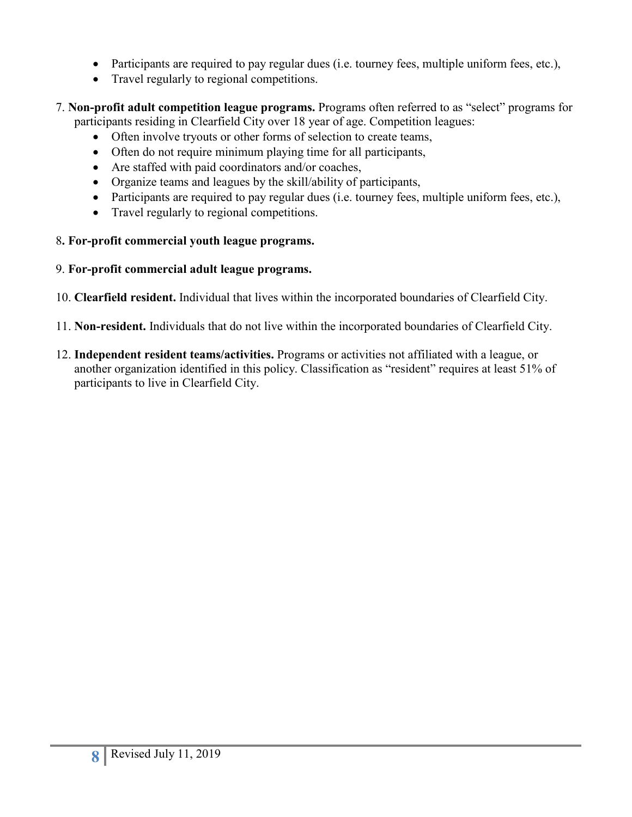- Participants are required to pay regular dues (i.e. tourney fees, multiple uniform fees, etc.),
- Travel regularly to regional competitions.
- 7. **Non-profit adult competition league programs.** Programs often referred to as "select" programs for participants residing in Clearfield City over 18 year of age. Competition leagues:
	- Often involve tryouts or other forms of selection to create teams,
	- Often do not require minimum playing time for all participants,
	- Are staffed with paid coordinators and/or coaches,
	- Organize teams and leagues by the skill/ability of participants,
	- Participants are required to pay regular dues (i.e. tourney fees, multiple uniform fees, etc.),
	- Travel regularly to regional competitions.

# 8**. For-profit commercial youth league programs.**

- 9. **For-profit commercial adult league programs.**
- 10. **Clearfield resident.** Individual that lives within the incorporated boundaries of Clearfield City.
- 11. **Non-resident.** Individuals that do not live within the incorporated boundaries of Clearfield City.
- 12. **Independent resident teams/activities.** Programs or activities not affiliated with a league, or another organization identified in this policy. Classification as "resident" requires at least 51% of participants to live in Clearfield City.